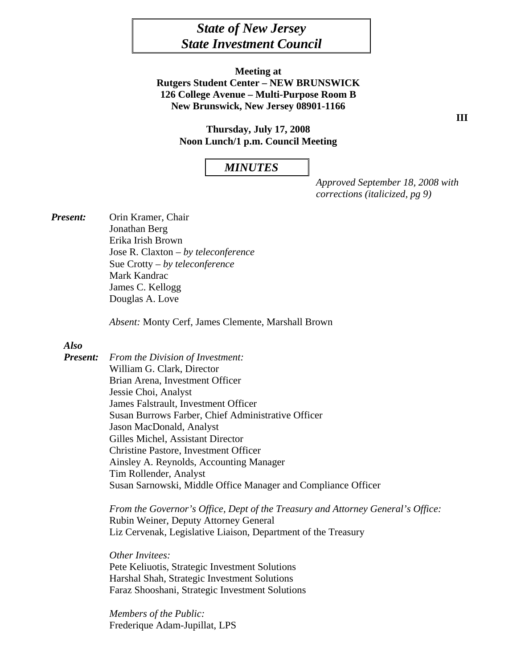# *State of New Jersey State Investment Council*

**Meeting at Rutgers Student Center – NEW BRUNSWICK 126 College Avenue – Multi-Purpose Room B New Brunswick, New Jersey 08901-1166** 

> **Thursday, July 17, 2008 Noon Lunch/1 p.m. Council Meeting**

#### *MINUTES*

*Approved September 18, 2008 with corrections (italicized, pg 9)* 

*Present:* Orin Kramer, Chair Jonathan Berg Erika Irish Brown Jose R. Claxton – *by teleconference* Sue Crotty *– by teleconference*  Mark Kandrac James C. Kellogg Douglas A. Love

 *Absent:* Monty Cerf, James Clemente, Marshall Brown

#### *Also*

*Present: From the Division of Investment:*  William G. Clark, Director Brian Arena, Investment Officer Jessie Choi, Analyst James Falstrault, Investment Officer Susan Burrows Farber, Chief Administrative Officer Jason MacDonald, Analyst Gilles Michel, Assistant Director Christine Pastore, Investment Officer Ainsley A. Reynolds, Accounting Manager Tim Rollender, Analyst Susan Sarnowski, Middle Office Manager and Compliance Officer

> *From the Governor's Office, Dept of the Treasury and Attorney General's Office:*  Rubin Weiner, Deputy Attorney General Liz Cervenak, Legislative Liaison, Department of the Treasury

*Other Invitees:* Pete Keliuotis, Strategic Investment Solutions Harshal Shah, Strategic Investment Solutions Faraz Shooshani, Strategic Investment Solutions

 *Members of the Public:* Frederique Adam-Jupillat, LPS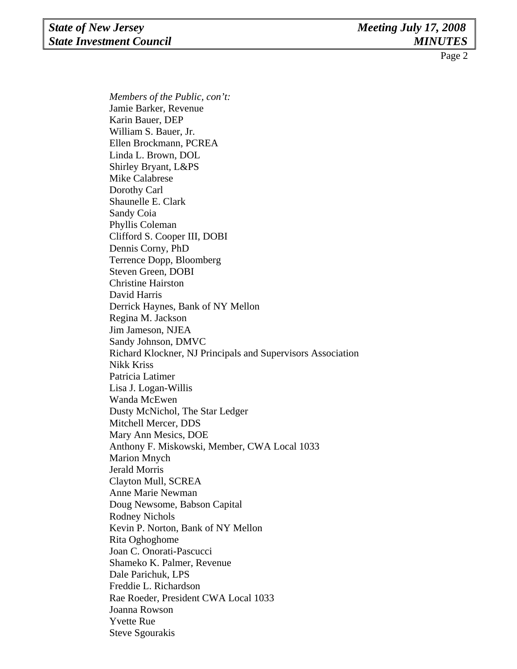*Members of the Public, con't:* Jamie Barker, Revenue Karin Bauer, DEP William S. Bauer, Jr. Ellen Brockmann, PCREA Linda L. Brown, DOL Shirley Bryant, L&PS Mike Calabrese Dorothy Carl Shaunelle E. Clark Sandy Coia Phyllis Coleman Clifford S. Cooper III, DOBI Dennis Corny, PhD Terrence Dopp, Bloomberg Steven Green, DOBI Christine Hairston David Harris Derrick Haynes, Bank of NY Mellon Regina M. Jackson Jim Jameson, NJEA Sandy Johnson, DMVC Richard Klockner, NJ Principals and Supervisors Association Nikk Kriss Patricia Latimer Lisa J. Logan-Willis Wanda McEwen Dusty McNichol*,* The Star Ledger Mitchell Mercer, DDS Mary Ann Mesics, DOE Anthony F. Miskowski, Member, CWA Local 1033 Marion Mnych Jerald Morris Clayton Mull, SCREA Anne Marie Newman Doug Newsome, Babson Capital Rodney Nichols Kevin P. Norton, Bank of NY Mellon Rita Oghoghome Joan C. Onorati-Pascucci Shameko K. Palmer, Revenue Dale Parichuk, LPS Freddie L. Richardson Rae Roeder, President CWA Local 1033 Joanna Rowson Yvette Rue Steve Sgourakis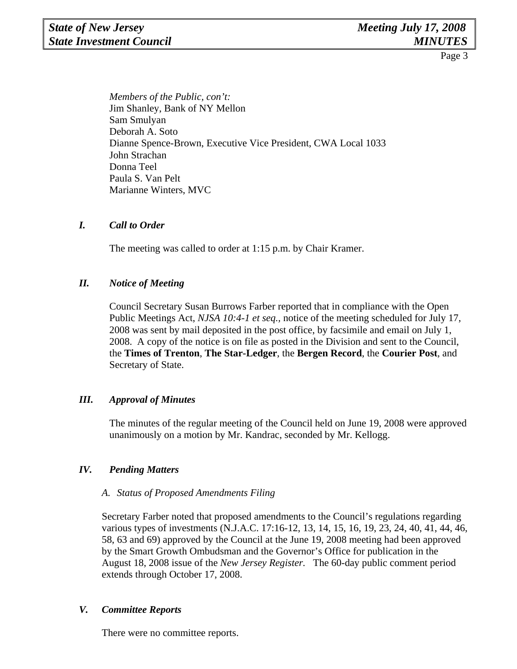*Members of the Public, con't:* Jim Shanley, Bank of NY Mellon Sam Smulyan Deborah A. Soto Dianne Spence-Brown, Executive Vice President, CWA Local 1033 John Strachan Donna Teel Paula S. Van Pelt Marianne Winters, MVC

## *I. Call to Order*

The meeting was called to order at 1:15 p.m. by Chair Kramer.

# *II. Notice of Meeting*

Council Secretary Susan Burrows Farber reported that in compliance with the Open Public Meetings Act, *NJSA 10:4-1 et seq.,* notice of the meeting scheduled for July 17, 2008 was sent by mail deposited in the post office, by facsimile and email on July 1, 2008. A copy of the notice is on file as posted in the Division and sent to the Council, the **Times of Trenton**, **The Star-Ledger**, the **Bergen Record**, the **Courier Post**, and Secretary of State.

# *III. Approval of Minutes*

The minutes of the regular meeting of the Council held on June 19, 2008 were approved unanimously on a motion by Mr. Kandrac, seconded by Mr. Kellogg.

## *IV. Pending Matters*

## *A. Status of Proposed Amendments Filing*

Secretary Farber noted that proposed amendments to the Council's regulations regarding various types of investments (N.J.A.C. 17:16-12, 13, 14, 15, 16, 19, 23, 24, 40, 41, 44, 46, 58, 63 and 69) approved by the Council at the June 19, 2008 meeting had been approved by the Smart Growth Ombudsman and the Governor's Office for publication in the August 18, 2008 issue of the *New Jersey Register.* The 60-day public comment period extends through October 17, 2008.

#### *V. Committee Reports*

There were no committee reports.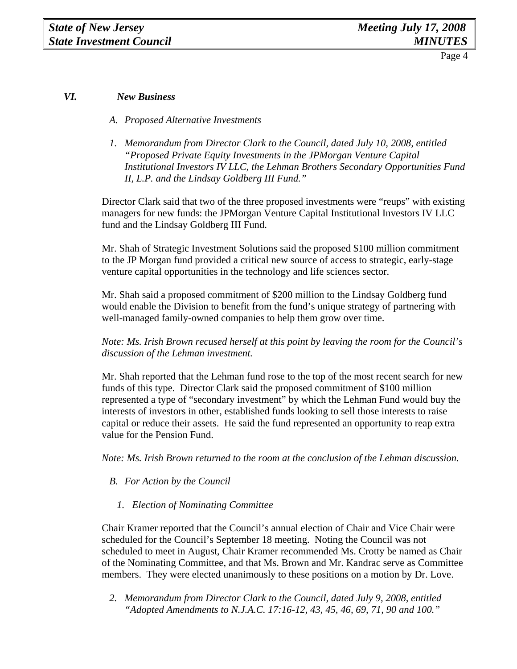# *VI. New Business*

- *A. Proposed Alternative Investments*
- *1. Memorandum from Director Clark to the Council, dated July 10, 2008, entitled "Proposed Private Equity Investments in the JPMorgan Venture Capital Institutional Investors IV LLC, the Lehman Brothers Secondary Opportunities Fund II, L.P. and the Lindsay Goldberg III Fund."*

Director Clark said that two of the three proposed investments were "reups" with existing managers for new funds: the JPMorgan Venture Capital Institutional Investors IV LLC fund and the Lindsay Goldberg III Fund.

Mr. Shah of Strategic Investment Solutions said the proposed \$100 million commitment to the JP Morgan fund provided a critical new source of access to strategic, early-stage venture capital opportunities in the technology and life sciences sector.

Mr. Shah said a proposed commitment of \$200 million to the Lindsay Goldberg fund would enable the Division to benefit from the fund's unique strategy of partnering with well-managed family-owned companies to help them grow over time.

*Note: Ms. Irish Brown recused herself at this point by leaving the room for the Council's discussion of the Lehman investment.* 

Mr. Shah reported that the Lehman fund rose to the top of the most recent search for new funds of this type. Director Clark said the proposed commitment of \$100 million represented a type of "secondary investment" by which the Lehman Fund would buy the interests of investors in other, established funds looking to sell those interests to raise capital or reduce their assets. He said the fund represented an opportunity to reap extra value for the Pension Fund.

*Note: Ms. Irish Brown returned to the room at the conclusion of the Lehman discussion.* 

- *B. For Action by the Council* 
	- *1. Election of Nominating Committee*

Chair Kramer reported that the Council's annual election of Chair and Vice Chair were scheduled for the Council's September 18 meeting. Noting the Council was not scheduled to meet in August, Chair Kramer recommended Ms. Crotty be named as Chair of the Nominating Committee, and that Ms. Brown and Mr. Kandrac serve as Committee members. They were elected unanimously to these positions on a motion by Dr. Love.

*2. Memorandum from Director Clark to the Council, dated July 9, 2008, entitled "Adopted Amendments to N.J.A.C. 17:16-12, 43, 45, 46, 69, 71, 90 and 100."*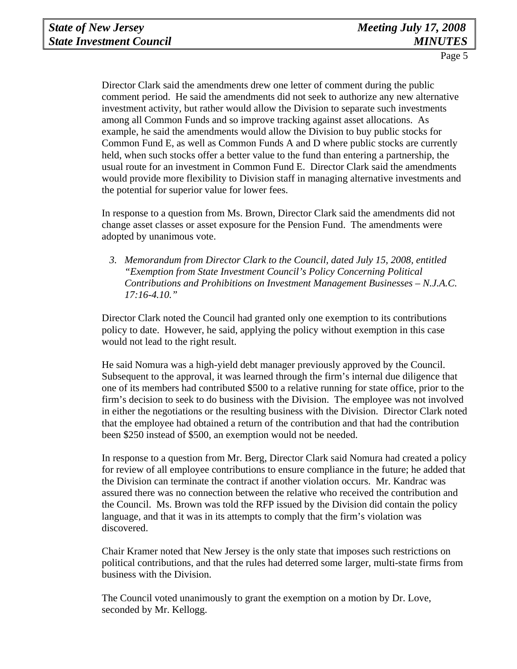Director Clark said the amendments drew one letter of comment during the public comment period. He said the amendments did not seek to authorize any new alternative investment activity, but rather would allow the Division to separate such investments among all Common Funds and so improve tracking against asset allocations. As example, he said the amendments would allow the Division to buy public stocks for Common Fund E, as well as Common Funds A and D where public stocks are currently held, when such stocks offer a better value to the fund than entering a partnership, the usual route for an investment in Common Fund E. Director Clark said the amendments would provide more flexibility to Division staff in managing alternative investments and the potential for superior value for lower fees.

In response to a question from Ms. Brown, Director Clark said the amendments did not change asset classes or asset exposure for the Pension Fund. The amendments were adopted by unanimous vote.

*3. Memorandum from Director Clark to the Council, dated July 15, 2008, entitled "Exemption from State Investment Council's Policy Concerning Political Contributions and Prohibitions on Investment Management Businesses – N.J.A.C. 17:16-4.10."* 

Director Clark noted the Council had granted only one exemption to its contributions policy to date. However, he said, applying the policy without exemption in this case would not lead to the right result.

He said Nomura was a high-yield debt manager previously approved by the Council. Subsequent to the approval, it was learned through the firm's internal due diligence that one of its members had contributed \$500 to a relative running for state office, prior to the firm's decision to seek to do business with the Division. The employee was not involved in either the negotiations or the resulting business with the Division. Director Clark noted that the employee had obtained a return of the contribution and that had the contribution been \$250 instead of \$500, an exemption would not be needed.

In response to a question from Mr. Berg, Director Clark said Nomura had created a policy for review of all employee contributions to ensure compliance in the future; he added that the Division can terminate the contract if another violation occurs. Mr. Kandrac was assured there was no connection between the relative who received the contribution and the Council. Ms. Brown was told the RFP issued by the Division did contain the policy language, and that it was in its attempts to comply that the firm's violation was discovered.

Chair Kramer noted that New Jersey is the only state that imposes such restrictions on political contributions, and that the rules had deterred some larger, multi-state firms from business with the Division.

The Council voted unanimously to grant the exemption on a motion by Dr. Love, seconded by Mr. Kellogg.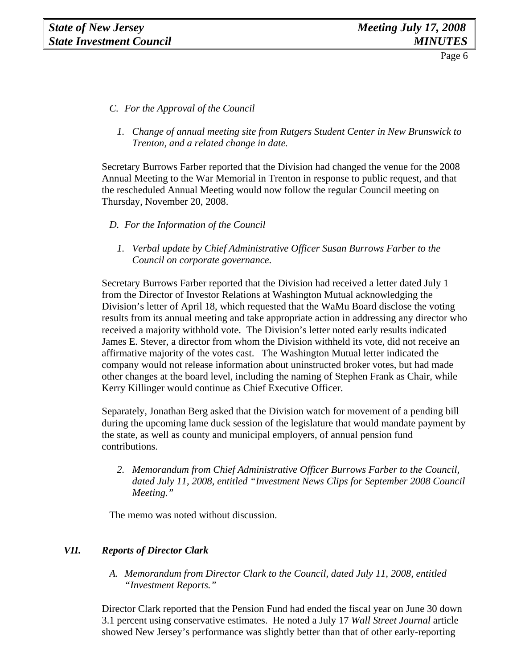- *C. For the Approval of the Council*
	- *1. Change of annual meeting site from Rutgers Student Center in New Brunswick to Trenton, and a related change in date.*

Secretary Burrows Farber reported that the Division had changed the venue for the 2008 Annual Meeting to the War Memorial in Trenton in response to public request, and that the rescheduled Annual Meeting would now follow the regular Council meeting on Thursday, November 20, 2008.

#### *D. For the Information of the Council*

*1. Verbal update by Chief Administrative Officer Susan Burrows Farber to the Council on corporate governance.* 

Secretary Burrows Farber reported that the Division had received a letter dated July 1 from the Director of Investor Relations at Washington Mutual acknowledging the Division's letter of April 18, which requested that the WaMu Board disclose the voting results from its annual meeting and take appropriate action in addressing any director who received a majority withhold vote. The Division's letter noted early results indicated James E. Stever, a director from whom the Division withheld its vote, did not receive an affirmative majority of the votes cast. The Washington Mutual letter indicated the company would not release information about uninstructed broker votes, but had made other changes at the board level, including the naming of Stephen Frank as Chair, while Kerry Killinger would continue as Chief Executive Officer.

Separately, Jonathan Berg asked that the Division watch for movement of a pending bill during the upcoming lame duck session of the legislature that would mandate payment by the state, as well as county and municipal employers, of annual pension fund contributions.

*2. Memorandum from Chief Administrative Officer Burrows Farber to the Council, dated July 11, 2008, entitled "Investment News Clips for September 2008 Council Meeting."* 

The memo was noted without discussion.

#### *VII. Reports of Director Clark*

*A. Memorandum from Director Clark to the Council, dated July 11, 2008, entitled "Investment Reports."* 

Director Clark reported that the Pension Fund had ended the fiscal year on June 30 down 3.1 percent using conservative estimates. He noted a July 17 *Wall Street Journal* article showed New Jersey's performance was slightly better than that of other early-reporting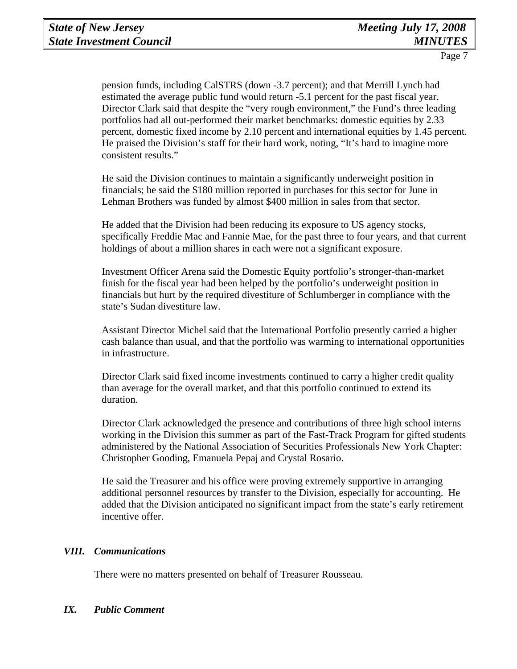pension funds, including CalSTRS (down -3.7 percent); and that Merrill Lynch had estimated the average public fund would return -5.1 percent for the past fiscal year. Director Clark said that despite the "very rough environment," the Fund's three leading portfolios had all out-performed their market benchmarks: domestic equities by 2.33 percent, domestic fixed income by 2.10 percent and international equities by 1.45 percent. He praised the Division's staff for their hard work, noting, "It's hard to imagine more consistent results."

He said the Division continues to maintain a significantly underweight position in financials; he said the \$180 million reported in purchases for this sector for June in Lehman Brothers was funded by almost \$400 million in sales from that sector.

He added that the Division had been reducing its exposure to US agency stocks, specifically Freddie Mac and Fannie Mae, for the past three to four years, and that current holdings of about a million shares in each were not a significant exposure.

Investment Officer Arena said the Domestic Equity portfolio's stronger-than-market finish for the fiscal year had been helped by the portfolio's underweight position in financials but hurt by the required divestiture of Schlumberger in compliance with the state's Sudan divestiture law.

Assistant Director Michel said that the International Portfolio presently carried a higher cash balance than usual, and that the portfolio was warming to international opportunities in infrastructure.

Director Clark said fixed income investments continued to carry a higher credit quality than average for the overall market, and that this portfolio continued to extend its duration.

Director Clark acknowledged the presence and contributions of three high school interns working in the Division this summer as part of the Fast-Track Program for gifted students administered by the National Association of Securities Professionals New York Chapter: Christopher Gooding, Emanuela Pepaj and Crystal Rosario.

He said the Treasurer and his office were proving extremely supportive in arranging additional personnel resources by transfer to the Division, especially for accounting. He added that the Division anticipated no significant impact from the state's early retirement incentive offer.

## *VIII. Communications*

There were no matters presented on behalf of Treasurer Rousseau.

#### *IX. Public Comment*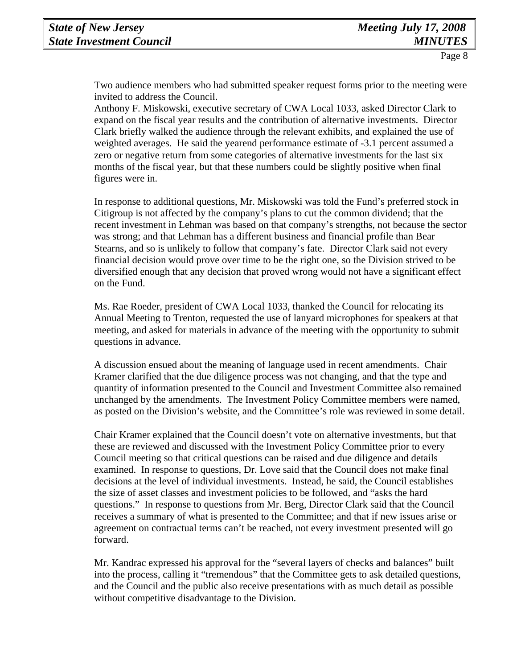Two audience members who had submitted speaker request forms prior to the meeting were invited to address the Council.

Anthony F. Miskowski, executive secretary of CWA Local 1033, asked Director Clark to expand on the fiscal year results and the contribution of alternative investments. Director Clark briefly walked the audience through the relevant exhibits, and explained the use of weighted averages. He said the yearend performance estimate of -3.1 percent assumed a zero or negative return from some categories of alternative investments for the last six months of the fiscal year, but that these numbers could be slightly positive when final figures were in.

In response to additional questions, Mr. Miskowski was told the Fund's preferred stock in Citigroup is not affected by the company's plans to cut the common dividend; that the recent investment in Lehman was based on that company's strengths, not because the sector was strong; and that Lehman has a different business and financial profile than Bear Stearns, and so is unlikely to follow that company's fate. Director Clark said not every financial decision would prove over time to be the right one, so the Division strived to be diversified enough that any decision that proved wrong would not have a significant effect on the Fund.

Ms. Rae Roeder, president of CWA Local 1033, thanked the Council for relocating its Annual Meeting to Trenton, requested the use of lanyard microphones for speakers at that meeting, and asked for materials in advance of the meeting with the opportunity to submit questions in advance.

A discussion ensued about the meaning of language used in recent amendments. Chair Kramer clarified that the due diligence process was not changing, and that the type and quantity of information presented to the Council and Investment Committee also remained unchanged by the amendments. The Investment Policy Committee members were named, as posted on the Division's website, and the Committee's role was reviewed in some detail.

Chair Kramer explained that the Council doesn't vote on alternative investments, but that these are reviewed and discussed with the Investment Policy Committee prior to every Council meeting so that critical questions can be raised and due diligence and details examined. In response to questions, Dr. Love said that the Council does not make final decisions at the level of individual investments. Instead, he said, the Council establishes the size of asset classes and investment policies to be followed, and "asks the hard questions." In response to questions from Mr. Berg, Director Clark said that the Council receives a summary of what is presented to the Committee; and that if new issues arise or agreement on contractual terms can't be reached, not every investment presented will go forward.

Mr. Kandrac expressed his approval for the "several layers of checks and balances" built into the process, calling it "tremendous" that the Committee gets to ask detailed questions, and the Council and the public also receive presentations with as much detail as possible without competitive disadvantage to the Division.